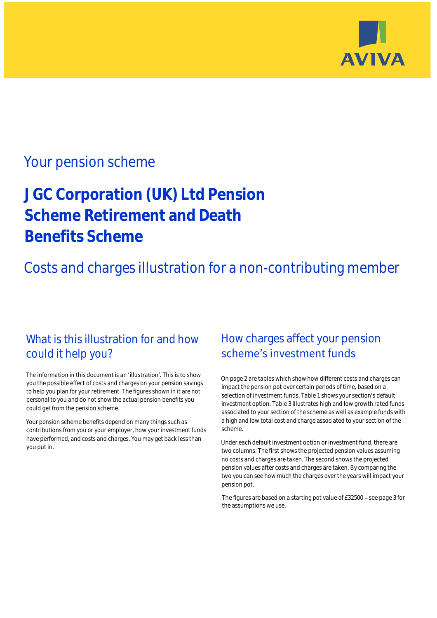

## Your pension scheme

# **JGC Corporation (UK) Ltd Pension Scheme Retirement and Death Benefits Scheme**

Costs and charges illustration for a non-contributing member

### What is this illustration for and how could it help you?

#### The information in this document is an 'illustration'. This is to show you the possible effect of costs and charges on your pension savings to help you plan for your retirement. The figures shown in it are not personal to you and do not show the actual pension benefits you could get from the pension scheme.

Your pension scheme benefits depend on many things such as contributions from you or your employer, how your investment funds have performed, and costs and charges. You may get back less than you put in.

### How charges affect your pension scheme's investment funds

On page 2 are tables which show how different costs and charges can impact the pension pot over certain periods of time, based on a selection of investment funds. Table 1 shows your section's default investment option. Table 3 illustrates high and low growth rated funds associated to your section of the scheme as well as example funds with a high and low total cost and charge associated to your section of the scheme.

Under each default investment option or investment fund, there are two columns. The first shows the projected pension values assuming no costs and charges are taken. The second shows the projected pension values after costs and charges are taken. By comparing the two you can see how much the charges over the years will impact your pension pot.

The figures are based on a starting pot value of  $£32500 -$  see page 3 for the assumptions we use.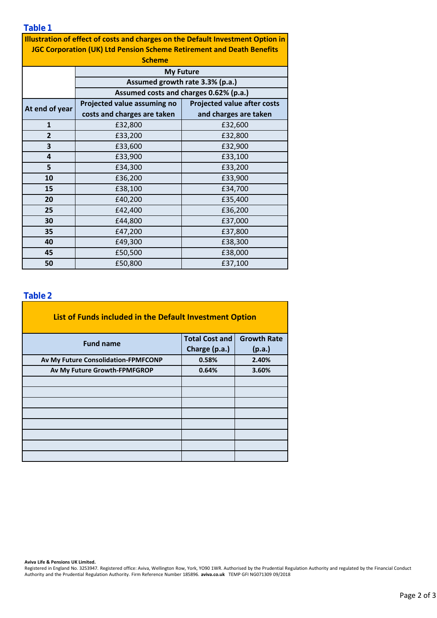**Table 1**

| . <i>. . .</i><br>Illustration of effect of costs and charges on the Default Investment Option in |                                                                           |                                    |  |  |  |  |  |  |  |
|---------------------------------------------------------------------------------------------------|---------------------------------------------------------------------------|------------------------------------|--|--|--|--|--|--|--|
| <b>JGC Corporation (UK) Ltd Pension Scheme Retirement and Death Benefits</b>                      |                                                                           |                                    |  |  |  |  |  |  |  |
| <b>Scheme</b>                                                                                     |                                                                           |                                    |  |  |  |  |  |  |  |
|                                                                                                   |                                                                           |                                    |  |  |  |  |  |  |  |
|                                                                                                   | <b>My Future</b>                                                          |                                    |  |  |  |  |  |  |  |
|                                                                                                   | Assumed growth rate 3.3% (p.a.)<br>Assumed costs and charges 0.62% (p.a.) |                                    |  |  |  |  |  |  |  |
|                                                                                                   |                                                                           |                                    |  |  |  |  |  |  |  |
| At end of year                                                                                    | Projected value assuming no                                               | <b>Projected value after costs</b> |  |  |  |  |  |  |  |
|                                                                                                   | costs and charges are taken                                               | and charges are taken              |  |  |  |  |  |  |  |
| $\mathbf{1}$                                                                                      | £32,800                                                                   | £32,600                            |  |  |  |  |  |  |  |
| $\overline{2}$                                                                                    | £33,200                                                                   | £32,800                            |  |  |  |  |  |  |  |
| 3                                                                                                 | £33,600                                                                   | £32,900                            |  |  |  |  |  |  |  |
| 4                                                                                                 | £33,900                                                                   | £33,100                            |  |  |  |  |  |  |  |
| 5                                                                                                 | £34,300                                                                   | £33,200                            |  |  |  |  |  |  |  |
| 10                                                                                                | £36,200                                                                   | £33,900                            |  |  |  |  |  |  |  |
| 15                                                                                                | £38,100                                                                   | £34,700                            |  |  |  |  |  |  |  |
| 20                                                                                                | £40,200                                                                   | £35,400                            |  |  |  |  |  |  |  |
| 25                                                                                                | £42,400                                                                   | £36,200                            |  |  |  |  |  |  |  |
| 30                                                                                                | £44,800                                                                   | £37,000                            |  |  |  |  |  |  |  |
| 35                                                                                                | £47,200                                                                   | £37,800                            |  |  |  |  |  |  |  |
| 40                                                                                                | £49,300                                                                   | £38,300                            |  |  |  |  |  |  |  |
| 45                                                                                                | £50,500                                                                   | £38,000                            |  |  |  |  |  |  |  |
| 50                                                                                                | £50,800                                                                   | £37,100                            |  |  |  |  |  |  |  |

#### **Table 2**

| List of Funds included in the Default Investment Option |                       |                    |  |  |  |  |  |  |
|---------------------------------------------------------|-----------------------|--------------------|--|--|--|--|--|--|
| <b>Fund name</b>                                        | <b>Total Cost and</b> | <b>Growth Rate</b> |  |  |  |  |  |  |
|                                                         | Charge (p.a.)         | (p.a.)             |  |  |  |  |  |  |
| Av My Future Consolidation-FPMFCONP                     | 0.58%                 | 2.40%              |  |  |  |  |  |  |
| Av My Future Growth-FPMFGROP                            | 0.64%                 | 3.60%              |  |  |  |  |  |  |
|                                                         |                       |                    |  |  |  |  |  |  |
|                                                         |                       |                    |  |  |  |  |  |  |
|                                                         |                       |                    |  |  |  |  |  |  |
|                                                         |                       |                    |  |  |  |  |  |  |
|                                                         |                       |                    |  |  |  |  |  |  |
|                                                         |                       |                    |  |  |  |  |  |  |
|                                                         |                       |                    |  |  |  |  |  |  |
|                                                         |                       |                    |  |  |  |  |  |  |

**Aviva Life & Pensions UK Limited.**

Registered in England No. 3253947. Registered office: Aviva, Wellington Row, York, YO90 1WR. Authorised by the Prudential Regulation Authority and regulated by the Financial Conduct Authority and the Prudential Regulation Authority. Firm Reference Number 185896. **aviva.co.uk** TEMP GFI NG071309 09/2018